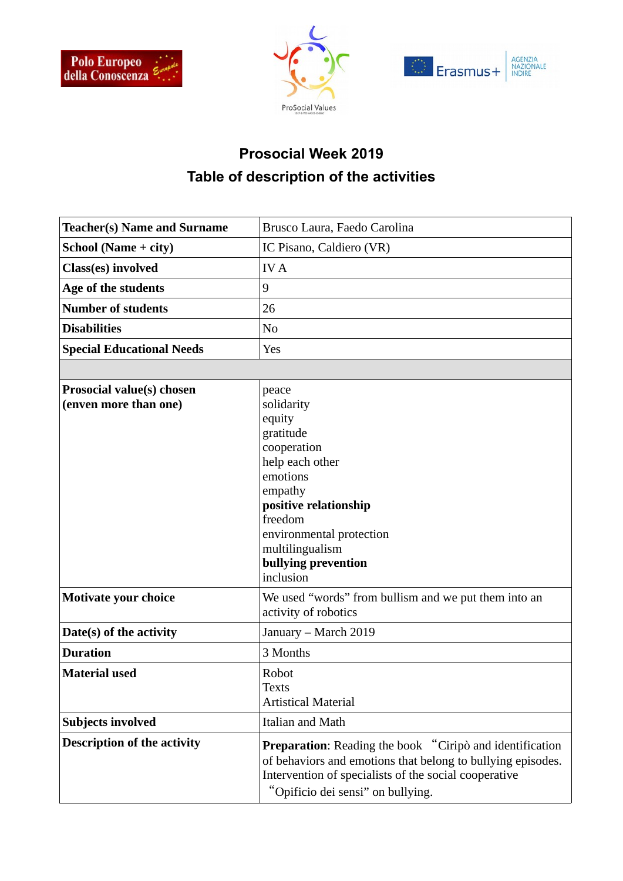





## **Prosocial Week 2019 Table of description of the activities**

| <b>Teacher(s) Name and Surname</b>                        | Brusco Laura, Faedo Carolina                                                                                                                                                                                                 |
|-----------------------------------------------------------|------------------------------------------------------------------------------------------------------------------------------------------------------------------------------------------------------------------------------|
| School (Name + city)                                      | IC Pisano, Caldiero (VR)                                                                                                                                                                                                     |
| Class(es) involved                                        | <b>IVA</b>                                                                                                                                                                                                                   |
| Age of the students                                       | 9                                                                                                                                                                                                                            |
| <b>Number of students</b>                                 | 26                                                                                                                                                                                                                           |
| <b>Disabilities</b>                                       | N <sub>0</sub>                                                                                                                                                                                                               |
| <b>Special Educational Needs</b>                          | Yes                                                                                                                                                                                                                          |
|                                                           |                                                                                                                                                                                                                              |
| <b>Prosocial value(s) chosen</b><br>(enven more than one) | peace<br>solidarity<br>equity<br>gratitude<br>cooperation<br>help each other<br>emotions<br>empathy<br>positive relationship<br>freedom<br>environmental protection<br>multilingualism<br>bullying prevention<br>inclusion   |
| <b>Motivate your choice</b>                               | We used "words" from bullism and we put them into an<br>activity of robotics                                                                                                                                                 |
| Date(s) of the activity                                   | January - March 2019                                                                                                                                                                                                         |
| <b>Duration</b>                                           | 3 Months                                                                                                                                                                                                                     |
| <b>Material used</b>                                      | Robot<br><b>Texts</b><br><b>Artistical Material</b>                                                                                                                                                                          |
| <b>Subjects involved</b>                                  | Italian and Math                                                                                                                                                                                                             |
| <b>Description of the activity</b>                        | <b>Preparation:</b> Reading the book "Ciripò and identification<br>of behaviors and emotions that belong to bullying episodes.<br>Intervention of specialists of the social cooperative<br>"Opificio dei sensi" on bullying. |